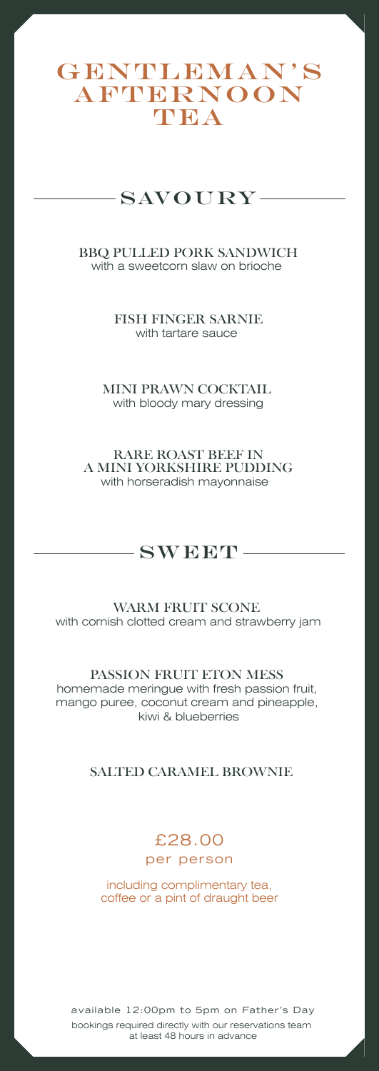## GENTLEMAN'S **AFTERNOON TEA**

## $-SAVOUIRY-$

BBQ PULLED PORK SANDWICH with a sweetcorn slaw on brioche

> FISH FINGER SARNIE with tartare sauce

MINI PRAWN COCKTAIL with bloody mary dressing

RARE ROAST BEEF IN A MINI YORKSHIRE PUDDING with horseradish mayonnaise

## $-$ SWEET $-$

WARM FRUIT SCONE with cornish clotted cream and strawberry jam

PASSION FRUIT ETON MESS homemade meringue with fresh passion fruit, mango puree, coconut cream and pineapple, kiwi & blueberries

#### SALTED CARAMEL BROWNIE

## £28.00

per person

including complimentary tea, coffee or a pint of draught beer

available 12:00pm to 5pm on Father's Day bookings required directly with our reservations team at least 48 hours in advance